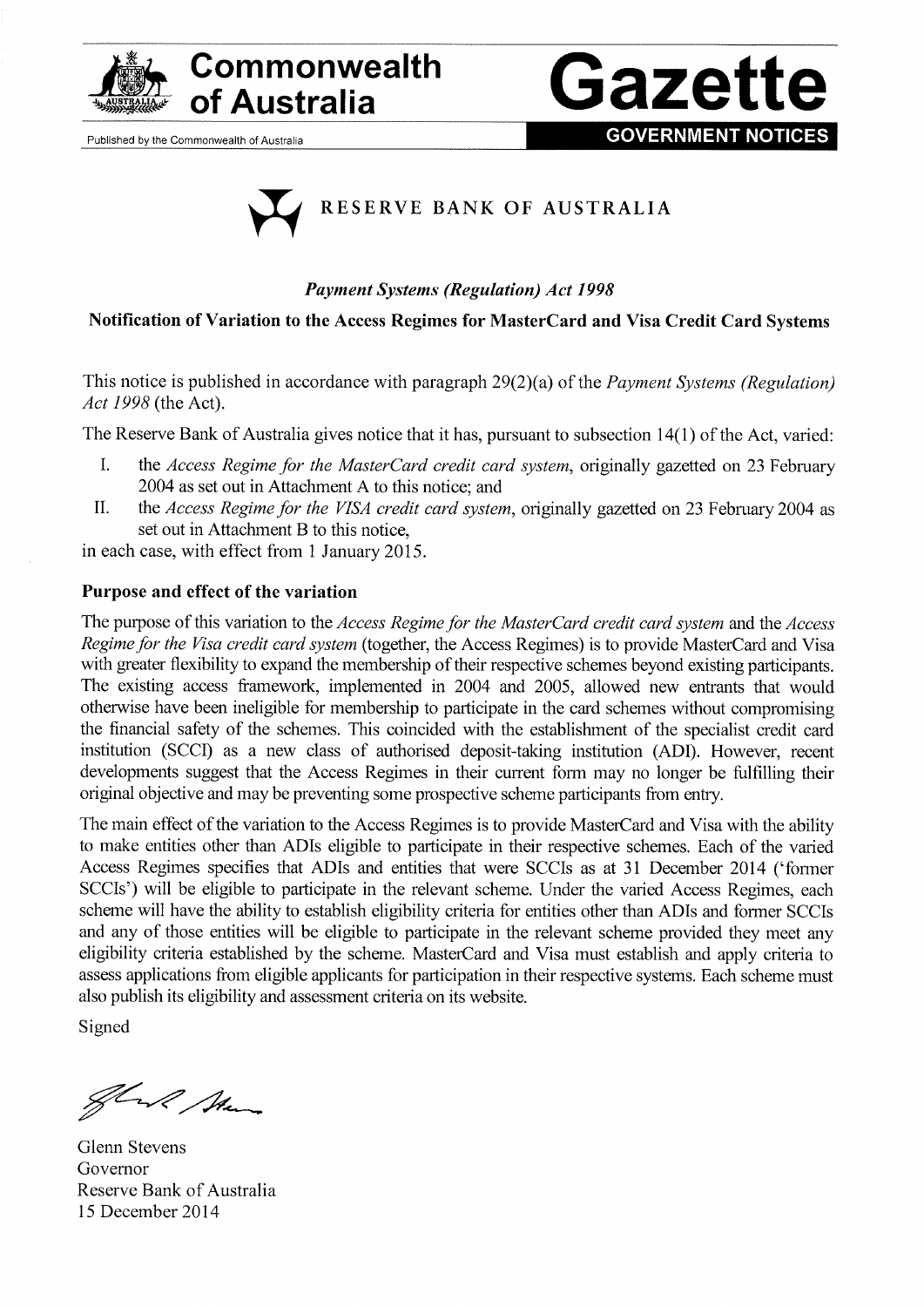

# Commonwealth **Gazett**

Published by the Commonwealth of Australia





# Payment Systems (Regulatíon) Act <sup>1998</sup>

# Notification of Variation to the Access Regimes for MasterCard and Visa Credit Card Systems

This notice is published in accordance with paragraph 29(2)(a) of the *Payment Systems (Regulation)* Act 1998 (the Act).

The Reserve Bank of Australia gives notice that it has, pursuant to subsection  $14(1)$  of the Act, varied:

- I. the Access Regime for the MasterCard credit card system, originally gazetted on 23 February 2004 as set out in Attachment A to this notice; and
- II. the Access Regime for the VISA credit card system, originally gazetted on 23 February 2004 as set out in Attachment B to this notice,

in each case, with effect from 1 January 2015.

# Purpose and effect of the variation

The purpose of this variation to the Access Regime for the MasterCard credit card system and the Access Regime for the Visa credit card system (together, the Access Regimes) is to provide MasterCard and Visa with greater flexibility to expand the membership of their respective schemes beyond existing participants. The existing access framework, implemented in 2004 and 2005, allowed new entrants that would otherwise have been ineligible for membership to parlicipate in the card schemes without compromising the financial safety of the schemes. This coincided with the establishment of the specialist credit card institution (SCCD as a new class of authorised deposit-taking institution (ADI). However, recent developments suggest that the Access Regimes in their curent fonn may no longer be fulfilling their original objective and may be preventing some prospective scheme participants from entry.

The main effect of the variation to the Access Regimes is to provide MasterCard and Visa with the ability to make entities other than ADIs eligible to participate in their respective schemes. Each of the varied Access Regimes specifies that ADIs and entities that were SCCIs as at 31 December 2014 ('former SCCIs') will be eligible to participate in the relevant scheme. Under the varied Access Regimes, each scheme will have the ability to establish eligibility criteria for entities other than ADIs and former SCCIs and any of those entities will be eligible to participate in the relevant scheme provided they meet any eligtbility criteria established by the scheme. MasterCard and Visa must establish and apply criteria to assess applications from eligible applicants for participation in their respective systems. Each scheme must also publish its eligibility and assessment criteria on its website.

Signed

Have Man

Glenn Stevens Governor Reserve Bank of Australia 15 December 2014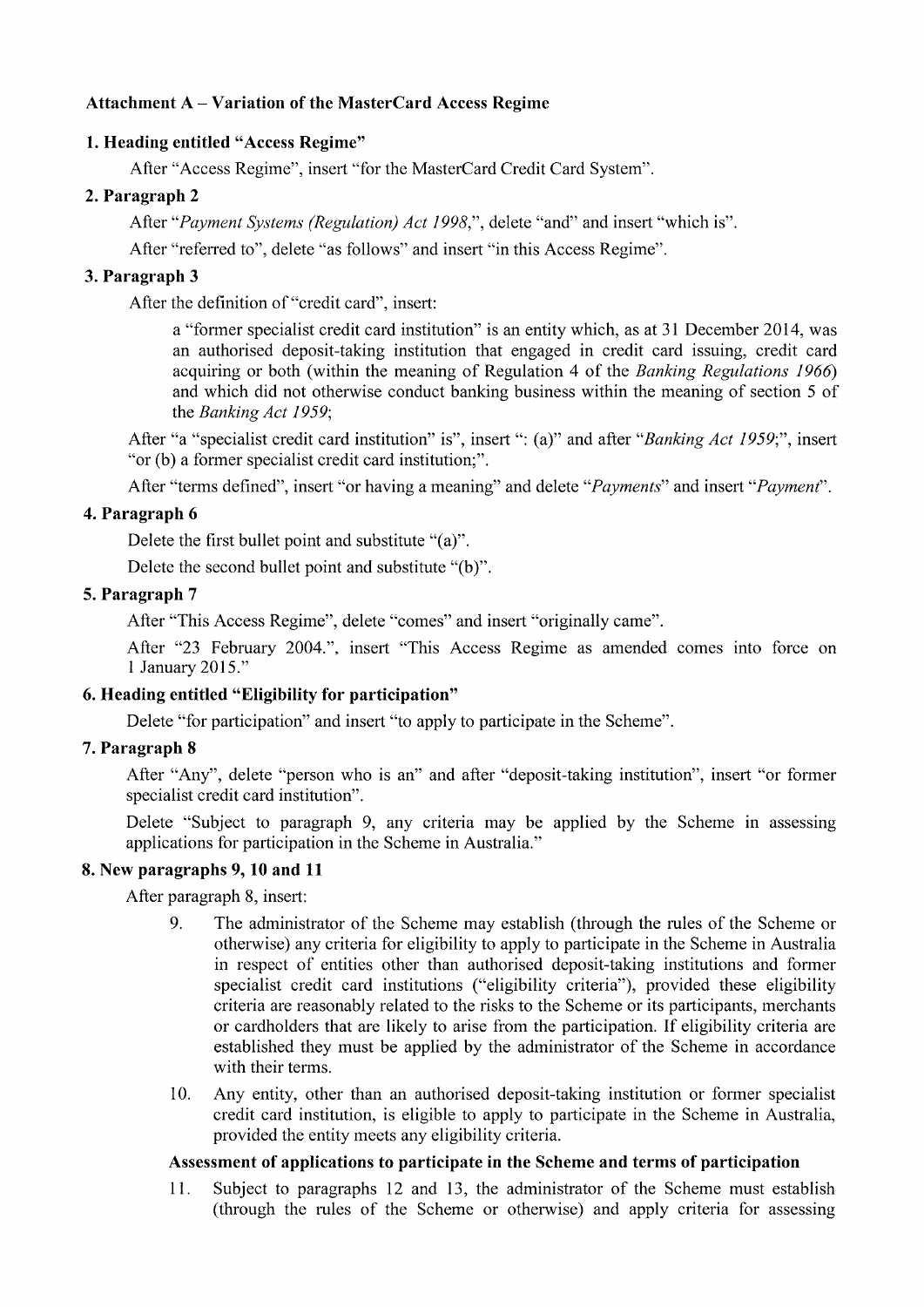## Attachment A - Variation of the MasterCard Access Regime

## l. Heading entitled "Access Regime"

After "Access Regime", insert "for the MasterCard Credit Card System".

# 2. Paragraph <sup>2</sup>

After "Payment Systems (Regulation) Act 1998,", delete "and" and insert "which is".

After "referred to", delete "as follows" and insert "in this Access Regime".

## 3. Paragraph <sup>3</sup>

After the definition of "credit card", insert:

a "former specialist credit card institution" is an entity which, as at 31 December 2014, was an authorised deposit-taking institution that engaged in credit card issuing, credit card acquiring or both (within the meaning of Regulation 4 of the *Banking Regulations 1966*) and which did not otherwise conduct banking business within the meaning of section 5 of the Banking Act 1959;

After "a "specialist credit card institution" is", insert ": (a)" and after "*Banking Act 1959*;", insert "or (b) a former specialist credit card institution;".

After "terms defined", insert "or having a meaning" and delete "*Payments*" and insert "*Payment*".

## 4. Paragraph <sup>6</sup>

Delete the first bullet point and substitute "(a)".

Delete the second bullet point and substitute "(b)".

## 5. Paragraph <sup>7</sup>

After "This Access Regime", delete "comes" and inserl "originally came".

After "23 February 2004.", insert "This Access Regime as amended comes into force on <sup>1</sup>January 2015;'

# 6. Heading entitled "Eligibility for participation"

Delete "for participation" and insert "to apply to participate in the Scheme".

## 7. Paragraph <sup>8</sup>

After "Any", delete "person who is an" and after "deposit-taking institution", insert "or former specialist credit card institution".

Delete "Subject to paragraph 9, any criteria may be applied by the Scheme in assessing applications for participation in the Scheme in Australia."

## 8. New paragraphs 9, 10 and <sup>11</sup>

After paragraph 8, inserl:

- 9. The administrator of the Scheme may establish (through the rules of the Scheme or otherwise) any criteria for eligibility to apply to participate in the Scheme in Australia in respect of entities other than authorised deposit-taking institutions and former specialist credit card institutions ("eligibility criteria"), provided these eligibility criteria are reasonably related to the risks to the Scheme or its participants, merchants or cardholders that are likely to arise from the participation. If eligibility criteria are established they must be applied by the administrator of the Scheme in accordance with their terms.
- 10. Any entity, other than an authorised deposit-taking institution or former specialist credit card institution, is eligible to apply to parlicipate in the Scheme in Australia, provided the entity meets any eligibility criteria.

## Assessment of applications to participate in the Scheme and terms of participation

ll. Subject to paragraphs 12 and 13, the administrator of the Scheme must establish (through the rules of the Scheme or otherwise) and apply criteria for assessing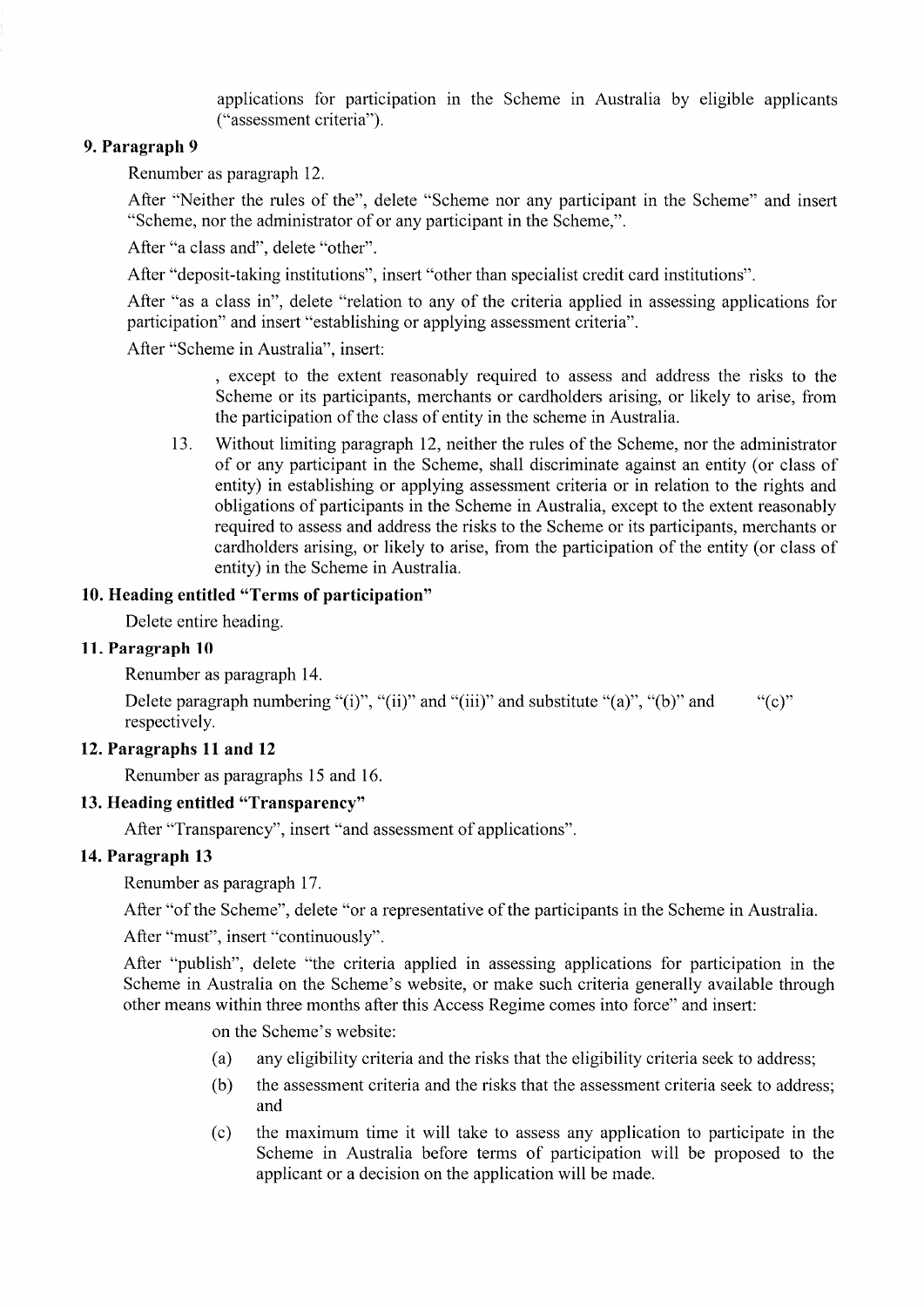applications for participation in the Scheme in Australia by eligible applicants ("assessrnent criteria").

# 9. Paragraph <sup>9</sup>

Renumber as paragraph 12.

After "Neither the rules of the", delete "Scheme nor any participant in the Scheme" and insert "Scheme, nor the administrator of or any participant in the Scherne,".

After "a class and", delete "other".

After "deposit-taking institutions", insert "other than specialist credit card institutions".

After "as a class in", delete "relation to any of the criteria applied in assessing applications for participation" and insert "establishing or applying assessment criteria".

After "Scheme in Australia", insert:

, except to the extent reasonably required to assess and address the risks to the Scheme or its participants, merchants or cardholders arising, or likely to arise, fiom the participation of the class of entity in the scheme in Australia.

13. Without limiting paragraph 12, neither the rules of the Scheme, nor the administrator of or any participant in the Scheme, shall discriminate against an entity (or class of entity) in establishing or applying assessment criteria or in relation to the rights and obligations of parlicipants in the Scheme in Australia, except to the extent reasonably required to assess and address the risks to the Scheme or its parlicipants, merchants or cardholders arising, or likely to arise, from the participation of the entity (or class of entity) in the Scheme in Australia.

#### 10. Heading entitled "Terms of participation"

Delete entire heading.

#### 11. Paragraph <sup>10</sup>

Renumber as paragraph 14.

Delete paragraph numbering "(i)", "(ii)" and "(iii)" and substitute "(a)", "(b)" and ""(c)" respectively.

#### 12. Paragraphs 11 and 12

Renumber as paragraphs l5 and 16.

#### 13. Heading entitled "Transparency"

After "Transparency", insert "and assessment of applications".

#### 14. Paragraph <sup>13</sup>

Renumber as paragraph 17.

After "of the Scheme", delete "or a representative of the participants in the Scheme in Australia.

After "must", insert "continuously".

After "publish", delete "the criteria applied in assessing applications for participation in the Scheme in Australia on the Scheme's website, or make such criteria generally available through other means within three months after this Access Regime comes into force" and insert:

on the Scheme's website:

- (a) any eligibility criteria and the risks that the eligibility criteria seek to address;
- (b) the assessment oriteria and the risks that the assessment criteria seek to address; and
- (c) the maximum time it will take to assess any application to participate in the Scheme in Australia before terms of participation will be proposed to the applicant or a decision on the application will be made.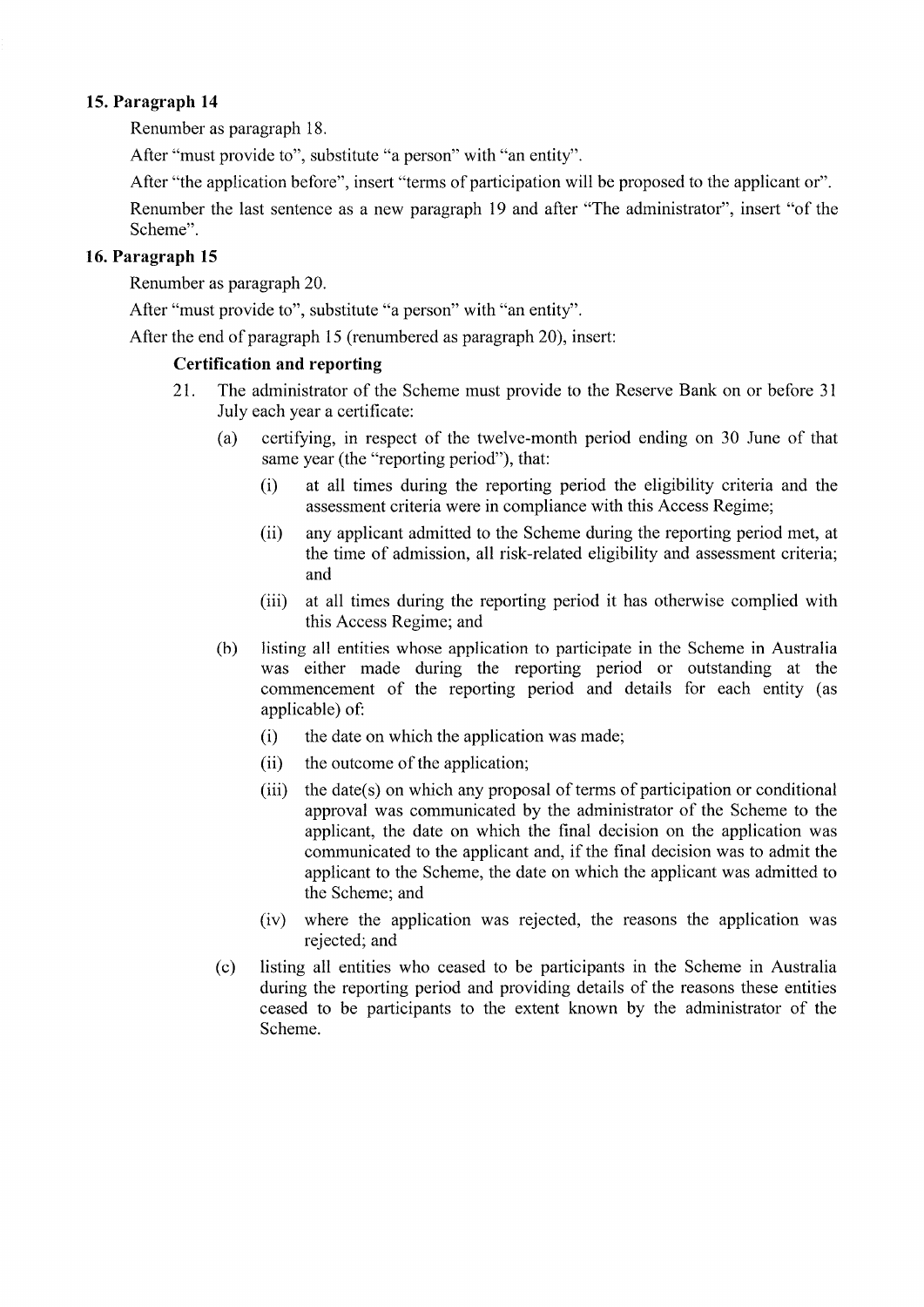## 15. Paragraph <sup>14</sup>

Renumber as paragraph 18.

After "must provide to", substitute "a person" with "an entity".

After "the application before", insert "terms of participation will be proposed to the applicant or".

Renumber the last sentence as a new paragraph 19 and after "The administrator", insert "of the Scheme".

# 16. Paragraph <sup>15</sup>

Renumber as paragraph 20.

After "must provide to", substitute "a person" with "an entity".

After the end of paragraph 15 (renumbered as paragraph 20), inserl:

## Certification and reporting

- 21. The administrator of the Scheme must provide to the Reserve Bank on or before 3 <sup>I</sup> July each year a certificate:
	- (a) certifying, in respect of the twelve-month period ending on 30 June of that same year (the "reporting period"), that:
		- (i) at all times during the reporting period the eligibility criteria and the assessment criteria were in compliance with this Access Regime;
		- (ii) any applicant admitted to the Scheme during the reporting period met, at the time of admission, all risk-related eligibility and assessment criteria' and
		- (iii) at all times during the reporting period it has otherwise complied with this Access Regime; and
	- (b) listing all entities whose application to participate in the Scheme in Australia was either made during the reporting period or outstanding at the commencement of the reporting period and details for each entity (as applicable) of:
		- (i) the date on which the application was made;
		- (ii) the outcome of the application;
		- (iii) the date(s) on which any proposal of terms of participation or conditional approval was communicated by the administrator of the Scheme to the applicant, the date on which the final decision on the application was communicated to the applicant and, if the final decision was to adrnit the applicant to the Scheme, the date on which the applicant was admitted to the Scheme; and
		- (iv) where the application was rejected, the reasons the application was rejected; and
	- (c) listing all entities who ceased to be parlicipants in the Scheme in Australia during the reporting period and providing details of the reasons these entities ceased to be participants to the extent known by the administrator of the Scheme.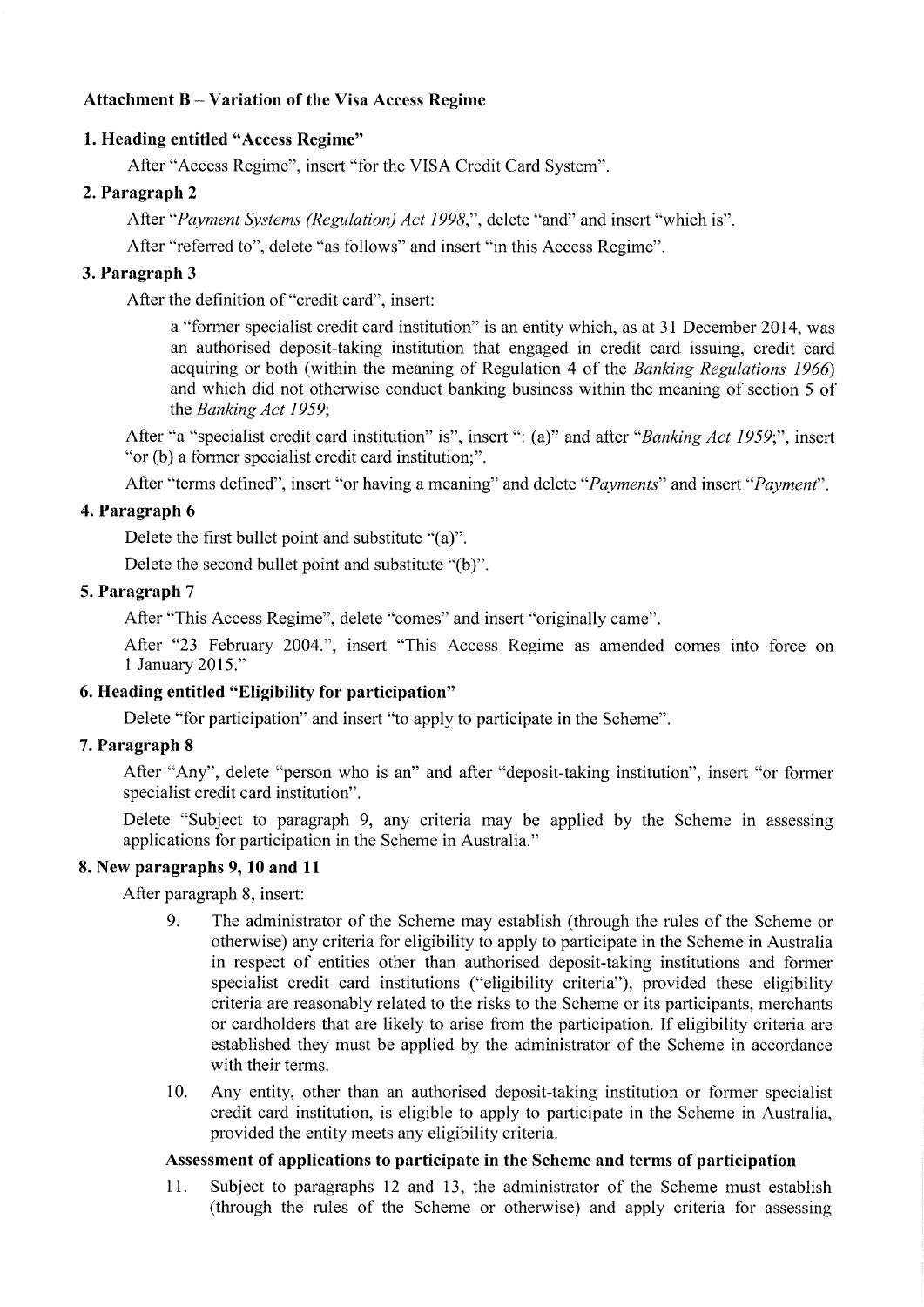## Attachment B - Variation of the Visa Access Regime

## 1. Heading entitled "Access Regime"

After "Access Regime", insert "for the VISA Credit Card System".

## 2. Paragraph <sup>2</sup>

After "Payment Systems (Regulation) Act 1998,", delete "and" and insert "which is".

After "referred to", delete "as follows" and insert "in this Access Regime".

# 3. Paragraph <sup>3</sup>

After the definition of "credit card", insert:

a "former specialist credit card institution" is an entity which, as at 31 December 2014, was an authorised deposit-taking institution that engaged in credit card issuing, credit card acquiring or both (within the meaning of Regulation 4 of the Banking Regulations  $1966$ ) and which did not otherwise conduct banking business within the meaning of section 5 of the Banking Act 1959;

After "a "specialist credit card institution" is", insert ": (a)" and after "Banking Act 1959;", insert "or (b) a former specialist credit card institution;".

After "terms defined", insert "or having a meaning" and delete "*Payments*" and insert "*Payment*".

## 4. Paragraph <sup>6</sup>

Delete the first bullet point and substitute "(a)".

Delete the second bullet point and substitute "(b)".

## 5. Paragraph <sup>7</sup>

After "This Access Regime", delete "comes" and insert "originally came".

After "23 February 2004.", insert "This Access Regime as amended comes into force on I January 2015."

# 6. Heading entitled "Eligibility for participation"

Delete "for participation" and insert "to apply to participate in the Scheme".

## 7. Paragraph 8

After "Any", delete "person who is an" and after "deposit-taking institution", insert "or former specialist credit card institution".

Delete "Subject to paragraph 9, any criteria may be applied by the Scheme in assessing applications for participation in the Scheme in Australia."

## 8. New paragraphs 9, 10 and <sup>11</sup>

After paragraph 8, insert:

- 9. The administrator of the Scheme may establish (through the rules of the Scheme or otherwise) any criteria for eligibility to apply to participate in the Scheme in Australia in respect of entities other than authorised deposit-taking institutions and former specialist credit card institutions ("eligibility criteria"), provided these eligibility criteria are reasonably related to the risks to the Scheme or its participants, merchants or cardholders that are likely to arise from the participation. If eligibility criteria are established they must be applied by the administrator of the Scheme in accordance with their terms.
- 10. Any entity, other than an authorised deposit-taking institution or former specialist credit card institution, is eligible to apply to participate in the Scheme in Australia, provided the entity meets any eligibility criteria.

## Assessment of applications to participate in the Scheme and terms of participation

11. Subject to paragraphs 12 and 13, the administrator of the Scheme must establish (through the rules of the Scheme or otherwise) and apply criteria for assessing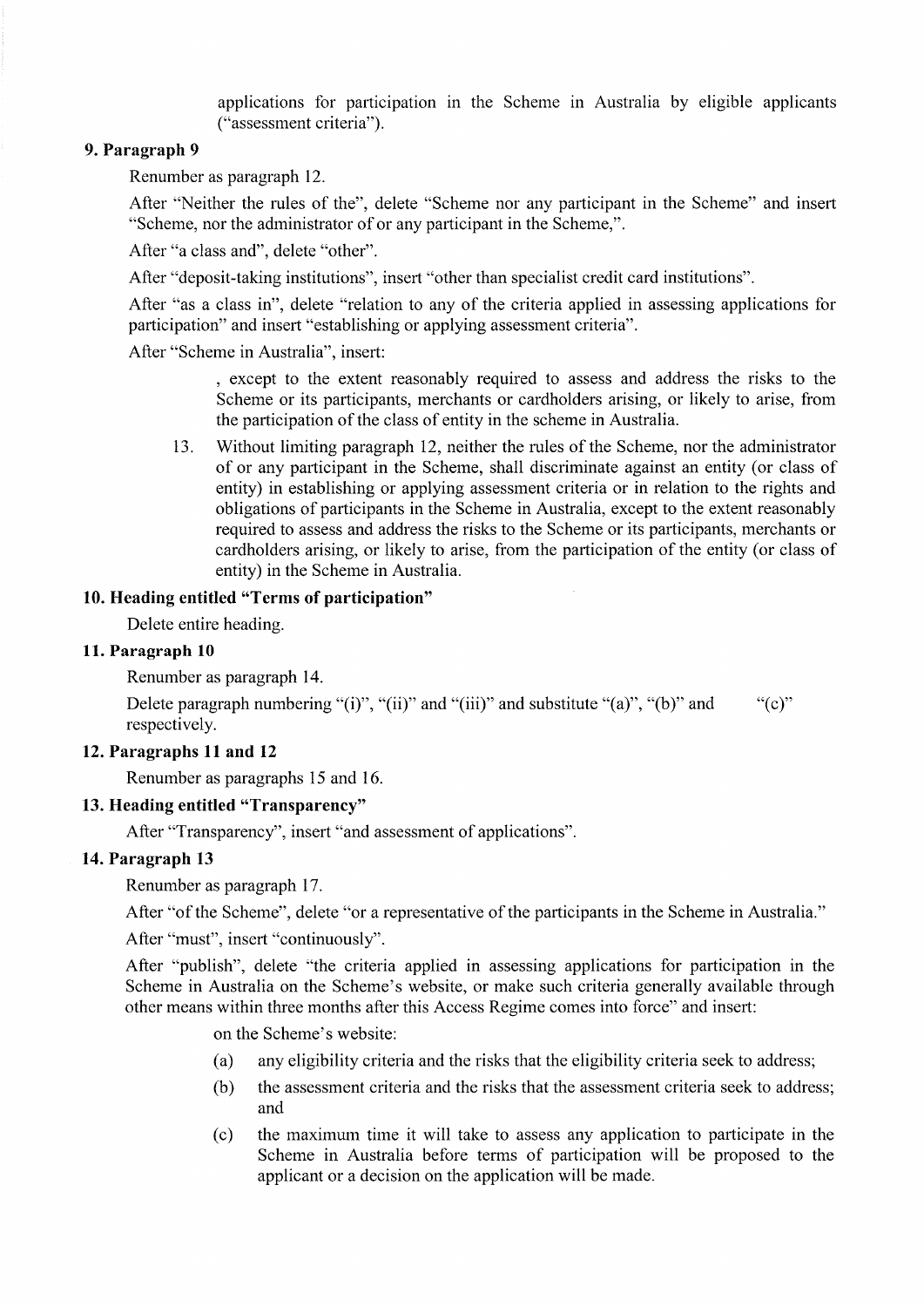applications for participation in the Scheme in Australia by eligible applicants ("assessment criteria").

## 9. Paragraph <sup>9</sup>

Renumber as paragraph 12.

After "Neither the rules of the", delete "Scheme nor any participant in the Scheme" and insert "Scheme, nor the administrator of or any participant in the Scheme,".

After "a class and", delete "other".

After "deposit-taking institutions", insert "other than specialist credit card institutions".

After "as a class in", delete "relation to any of the criteria applied in assessing applications for participation" and insert "establishing or applying assessment criteria".

After "Scheme in Australia", insert:

, except to the extent reasonably required to assess and address the risks to the Scheme or its participants, merchants or cardholders arising, or likely to arise, from the participation of the class of entity in the scheme in Australia.

13. Without limiting paragraph 12, neither the rules of the Scheme, nor the administrator of or any parlicipant in the Scheme, shall discriminate against an entity (or class of entity) in establishing or applying assessment criteria or in relation to the rights and obligations of participants in the Scheme in Australia, except to the extent reasonably required to assess and address the risks to the Scheme or its participants, merchants or cardholders arising, or likely to arise, from the participation of the entity (or class of entity) in the Scheme in Australia.

#### 10. Heading entitled "Terms of participation"

Delete entire heading.

#### 11. Paragraph <sup>10</sup>

Renumber as paragraph 14.

Delete paragraph numbering "(i)", "(ii)" and "(iii)" and substitute "(a)", "(b)" and ""(c)" respectively.

#### 12. Paragraphs 11 and 12

Renumber as paragraphs 15 and 16.

#### 13. Heading entitled "Transparency"

After "Transparency", insert "and assessment of applications".

#### 14. Paragraph <sup>13</sup>

Renumber as paragraph 17.

After "of the Scheme", delete "or a representative of the participants in the Scheme in Australia."

After "must", insert "continuously".

After "publish", delete "the criteria applied in assessing applications for participation in the Scheme in Australia on the Scheme's website, or make such criteria generally available through other means within three months after this Access Regime comes into force" and insert:

on the Scheme's website:

- (a) any eligibility criteria and the risks that the eligibility criteria seek to address;
- $(b)$  the assessment criteria and the risks that the assessment criteria seek to address; and
- (c) the maximum time it will take to assess any application to participate in the Scheme in Australia before terms of participation will be proposed to the applicant or a decision on the application will be made.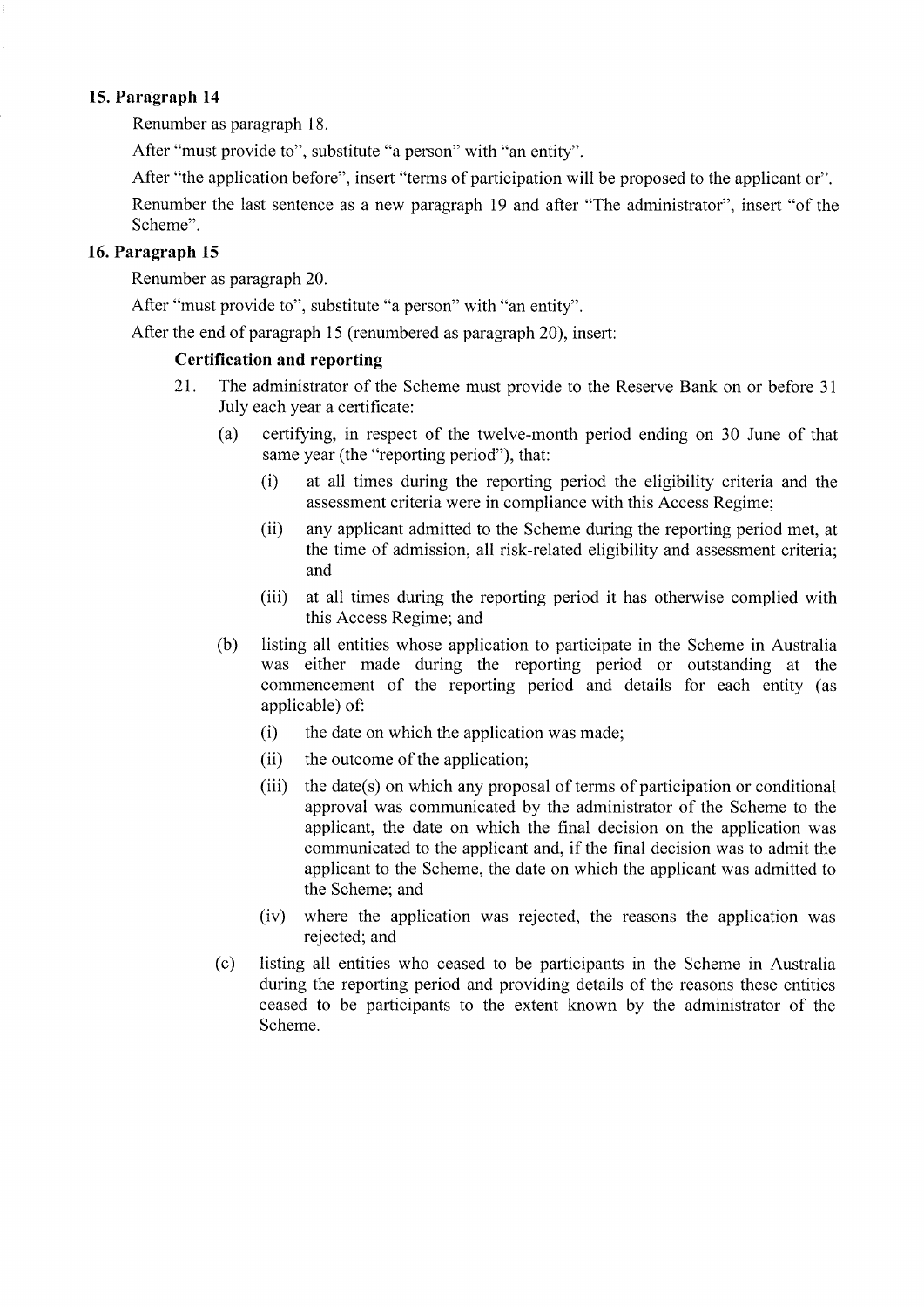## 15. Paragraph <sup>14</sup>

Renumber as paragraph 18.

After "must provide to", substitute "a person" with "an entity".

After "the application before", insert "terms of participation will be proposed to the applicant or".

Renumber the last sentence as a new paragraph 19 and after "The administrator", insert "of the Scheme".

## 16. Paragraph <sup>15</sup>

Renumber as paragraph 20.

After "must provide to", substitute "a person" with "an entity".

After the end of paragraph l5 (renumbered as paragraph 20), inserl:

#### Certification and reporting

- 21. The administrator of the Scheme must provide to the Reserve Bank on or before <sup>31</sup> July each year a certificate:
	- (a) certifying, in respect of the twelve-month period ending on 30 June of that same year (the "reporting period"), that:
		- (i) at all times during the reporting period the eligibility criteria and the assessment criteria were in compliance with this Access Regime;
		- (ii) any applicant admitted to the Scheme during the reporting period met, at the time of admission, all risk-related eligibility and assessment criteria; and
		- (iii) at all times during the reporting period it has otherwise complied with this Access Regime; and
	- (b) listing all entities whose application to participate in the Scheme in Australia was either made during the reporting period or outstanding at the commencement of the reporting period and details for each entity (as applicable) ofì
		- (i) the date on which the application was made;
		- (ii) the outcome of the application;
		- $(iii)$  the date(s) on which any proposal of terms of participation or conditional approval was communicated by the administrator of the Scheme to the applicant, the date on which the final decision on the application was communicated to the applicant and, if the final decision was to admit the applicant to the Scheme, the date on which the applicant was admitted to the Scheme; and
		- (iv) where the application was rejected, the reasons the application was rejected; and
	- (c) listing all entities who ceased to be participants in the Scheme in Australia during the reporting period and providing details of the reasons these entities ceased to be participants to the extent known by the administrator of the Scheme.